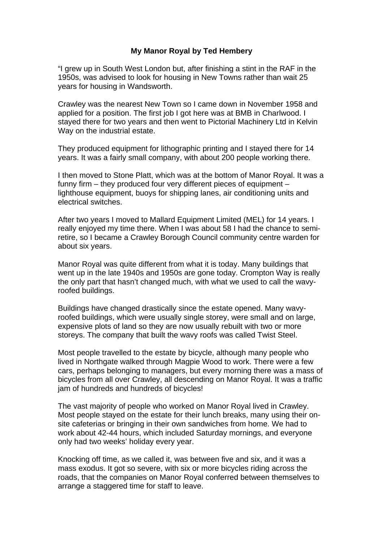## **My Manor Royal by Ted Hembery**

"I grew up in South West London but, after finishing a stint in the RAF in the 1950s, was advised to look for housing in New Towns rather than wait 25 years for housing in Wandsworth.

Crawley was the nearest New Town so I came down in November 1958 and applied for a position. The first job I got here was at BMB in Charlwood. I stayed there for two years and then went to Pictorial Machinery Ltd in Kelvin Way on the industrial estate.

They produced equipment for lithographic printing and I stayed there for 14 years. It was a fairly small company, with about 200 people working there.

I then moved to Stone Platt, which was at the bottom of Manor Royal. It was a funny firm – they produced four very different pieces of equipment – lighthouse equipment, buoys for shipping lanes, air conditioning units and electrical switches.

After two years I moved to Mallard Equipment Limited (MEL) for 14 years. I really enjoyed my time there. When I was about 58 I had the chance to semiretire, so I became a Crawley Borough Council community centre warden for about six years.

Manor Royal was quite different from what it is today. Many buildings that went up in the late 1940s and 1950s are gone today. Crompton Way is really the only part that hasn't changed much, with what we used to call the wavyroofed buildings.

Buildings have changed drastically since the estate opened. Many wavyroofed buildings, which were usually single storey, were small and on large, expensive plots of land so they are now usually rebuilt with two or more storeys. The company that built the wavy roofs was called Twist Steel.

Most people travelled to the estate by bicycle, although many people who lived in Northgate walked through Magpie Wood to work. There were a few cars, perhaps belonging to managers, but every morning there was a mass of bicycles from all over Crawley, all descending on Manor Royal. It was a traffic jam of hundreds and hundreds of bicycles!

The vast majority of people who worked on Manor Royal lived in Crawley. Most people stayed on the estate for their lunch breaks, many using their onsite cafeterias or bringing in their own sandwiches from home. We had to work about 42-44 hours, which included Saturday mornings, and everyone only had two weeks' holiday every year.

Knocking off time, as we called it, was between five and six, and it was a mass exodus. It got so severe, with six or more bicycles riding across the roads, that the companies on Manor Royal conferred between themselves to arrange a staggered time for staff to leave.